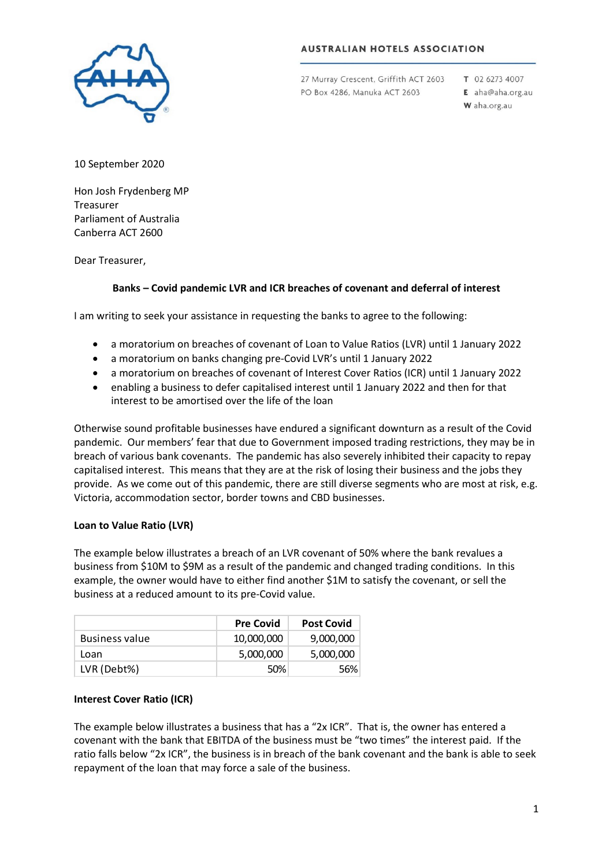

## **AUSTRALIAN HOTELS ASSOCIATION**

27 Murray Crescent, Griffith ACT 2603 PO Box 4286, Manuka ACT 2603

T 02 6273 4007 E aha@aha.org.au W aha.org.au

10 September 2020

Hon Josh Frydenberg MP Treasurer Parliament of Australia Canberra ACT 2600

Dear Treasurer,

# **Banks – Covid pandemic LVR and ICR breaches of covenant and deferral of interest**

I am writing to seek your assistance in requesting the banks to agree to the following:

- a moratorium on breaches of covenant of Loan to Value Ratios (LVR) until 1 January 2022
- a moratorium on banks changing pre-Covid LVR's until 1 January 2022
- a moratorium on breaches of covenant of Interest Cover Ratios (ICR) until 1 January 2022
- enabling a business to defer capitalised interest until 1 January 2022 and then for that interest to be amortised over the life of the loan

Otherwise sound profitable businesses have endured a significant downturn as a result of the Covid pandemic. Our members' fear that due to Government imposed trading restrictions, they may be in breach of various bank covenants. The pandemic has also severely inhibited their capacity to repay capitalised interest. This means that they are at the risk of losing their business and the jobs they provide. As we come out of this pandemic, there are still diverse segments who are most at risk, e.g. Victoria, accommodation sector, border towns and CBD businesses.

#### **Loan to Value Ratio (LVR)**

The example below illustrates a breach of an LVR covenant of 50% where the bank revalues a business from \$10M to \$9M as a result of the pandemic and changed trading conditions. In this example, the owner would have to either find another \$1M to satisfy the covenant, or sell the business at a reduced amount to its pre-Covid value.

|                       | <b>Pre Covid</b> | <b>Post Covid</b> |
|-----------------------|------------------|-------------------|
| <b>Business value</b> | 10,000,000       | 9,000,000         |
| Loan                  | 5,000,000        | 5,000,000         |
| LVR (Debt%)           | 50%              | 56%               |

#### **Interest Cover Ratio (ICR)**

The example below illustrates a business that has a "2x ICR". That is, the owner has entered a covenant with the bank that EBITDA of the business must be "two times" the interest paid. If the ratio falls below "2x ICR", the business is in breach of the bank covenant and the bank is able to seek repayment of the loan that may force a sale of the business.